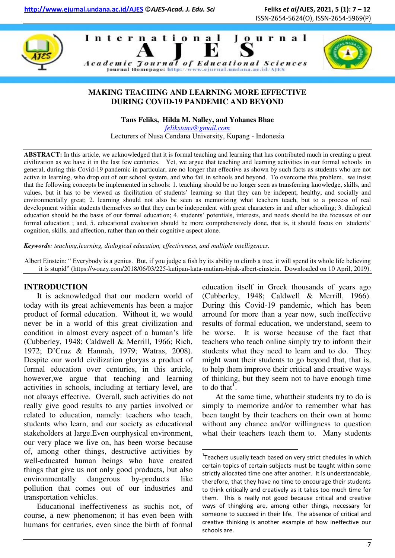





## **MAKING TEACHING AND LEARNING MORE EFFECTIVE DURING COVID-19 PANDEMIC AND BEYOND**

**Tans Feliks, Hilda M. Nalley, and Yohanes Bhae** 

*[felikstans@gmail.com](mailto:felikstans@gmail.com)* 

Lecturers of Nusa Cendana University, Kupang - Indonesia

**ABSTRACT:** In this article, we acknowledged that it is formal teaching and learning that has contributed much in creating a great civilization as we have it in the last few centuries. Yet, we argue that teaching and learning activities in our formal schools in general, during this Covid-19 pandemic in particular, are no longer that effective as shown by such facts as students who are not active in learning, who drop out of our school system, and who fail in schools and beyond. To overcome this problem, we insist that the following concepts be implemented in schools: 1. teaching should be no longer seen as transferring knowledge, skills, and values, but it has to be viewed as facilitation of students' learning so that they can be indepent, healthy, and socially and environmentally great; 2. learning should not also be seen as memorizing what teachers teach, but to a process of real development within students themselves so that they can be independent with great characters in and after schooling; 3. dialogical education should be the basis of our formal education; 4. students' potentials, interests, and needs should be the focusses of our formal education ; and, 5. educational evaluation should be more comprehensively done, that is, it should focus on students' cognition, skills, and affection, rather than on their cognitive aspect alone.

*Keywords: teaching,learning, dialogical education, effectiveness, and multiple intelligences.* 

Albert Einstein: " Everybody is a genius. But, if you judge a fish by its ability to climb a tree, it will spend its whole life believing it is stupid" ([https://woazy.com/2018/06/03/225-kutipan-kata-mutiara-bijak-albert-einstein.](https://woazy.com/2018/06/03/225-kutipan-kata-mutiara-bijak-albert-einstein) Downloaded on 10 April, 2019).

 $\overline{a}$ 

# **INTRODUCTION**

It is acknowledged that our modern world of today with its great achievements has been a major product of formal education. Without it, we would never be in a world of this great civilization and condition in almost every aspect of a human's life (Cubberley, 1948; Caldwell & Merrill, 1966; Rich, 1972; D'Cruz & Hannah, 1979; Watras, 2008). Despite our world civilization gloryas a product of formal education over centuries, in this article, however,we argue that teaching and learning activities in schools, including at tertiary level, are not always effective. Overall, such activities do not really give good results to any parties involved or related to education, namely: teachers who teach, students who learn, and our society as educational stakeholders at large.Even ourphysical environment, our very place we live on, has been worse because of, among other things, destructive activities by well-educated human beings who have created things that give us not only good products, but also environmentally dangerous by-products like pollution that comes out of our industries and transportation vehicles.

Educational ineffectiveness as suchis not, of course, a new phenomenon; it has even been with humans for centuries, even since the birth of formal

education itself in Greek thousands of years ago (Cubberley, 1948; Caldwell & Merrill, 1966). During this Covid-19 pandemic, which has been arround for more than a year now, such ineffective results of formal education, we understand, seem to be worse. It is worse because of the fact that teachers who teach online simply try to inform their students what they need to learn and to do. They might want their students to go beyond that, that is, to help them improve their critical and creative ways of thinking, but they seem not to have enough time to do that<sup>1</sup>.

At the same time, whattheir students try to do is simply to memorize and/or to remember what has been taught by their teachers on their own at home without any chance and/or willingness to question what their teachers teach them to. Many students

 $1$ Teachers usually teach based on very strict chedules in which certain topics of certain subjects must be taught within some strictly allocated time one after another. It is understandable, therefore, that they have no time to encourage their students to think critically and creatively as it takes too much time for them. This is really not good because critical and creative ways of thingking are, among other things, necessary for someone to succeed in their life. The absence of critical and creative thinking is another example of how ineffective our schools are.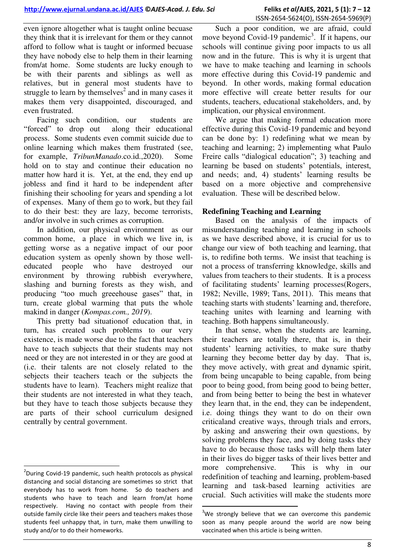even ignore altogether what is taught online becuase they think that it is irrelevant for them or they cannot afford to follow what is taught or informed becuase they have nobody else to help them in their learning from/at home. Some students are lucky enough to be with their parents and siblings as well as relatives, but in general most students have to struggle to learn by themselves<sup>2</sup> and in many cases it makes them very disappointed, discouraged, and even frustrated.

Facing such condition, our students are "forced" to drop out along their educational process. Some students even commit suicide due to online learning which makes them frustrated (see, for example, *TribunManado*.co.id.,2020). Some hold on to stay and continue their education no matter how hard it is. Yet, at the end, they end up jobless and find it hard to be independent after finishing their schooling for years and spending a lot of expenses. Many of them go to work, but they fail to do their best: they are lazy, become terrorists, and/or involve in such crimes as corruption.

In addition, our physical environment as our common home, a place in which we live in, is getting worse as a negative impact of our poor education system as openly shown by those welleducated people who have destroyed our environment by throwing rubbish everywhere, slashing and burning forests as they wish, and producing "too much greeehouse gases" that, in turn, create global warming that puts the whole makind in danger (*Kompas.com., 2019*).

This pretty bad situationof education that, in turn, has created such problems to our very existence, is made worse due to the fact that teachers have to teach subjects that their students may not need or they are not interested in or they are good at (i.e. their talents are not closely related to the sebjects their teachers teach or the subjects the students have to learn). Teachers might realize that their students are not interested in what they teach, but they have to teach those subjects because they are parts of their school curriculum designed centrally by central government.

<u>.</u>

Such a poor condition, we are afraid, could move beyond Covid-19 pandemic<sup>3</sup>. If it hapens, our schools will continue giving poor impacts to us all now and in the future. This is why it is urgent that we have to make teaching and learning in schools more effective during this Covid-19 pandemic and beyond. In other words, making formal education more effective will create better results for our students, teachers, educational stakeholders, and, by implication, our physical environment.

We argue that making formal education more effective during this Covid-19 pandemic and beyond can be done by: 1) redefining what we mean by teaching and learning; 2) implementing what Paulo Freire calls "dialogical education"; 3) teaching and learning be based on students' potentials, interest, and needs; and, 4) students' learning results be based on a more objective and comprehensive evaluation. These will be described below.

## **Redefining Teaching and Learning**

Based on the analysis of the impacts of misunderstanding teaching and learning in schools as we have described above, it is crucial for us to change our view of both teaching and learning, that is, to redifine both terms. We insist that teaching is not a process of transferring kknowledge, skills and values from teachers to their students. It is a process of facilitating students' learning processes(Rogers, 1982; Neville, 1989; Tans, 2011). This means that teaching starts with students' learning and, therefore, teaching unites with learning and learning with teaching. Both happens simultaneously.

In that sense, when the students are learning, their teachers are totally there, that is, in their students' learning activities, to make sure thatby learning they become better day by day. That is, they move actively, with great and dynamic spirit, from being uncapable to being capable, from being poor to being good, from being good to being better, and from being better to being the best in whatever they learn that, in the end, they can be independent, i.e. doing things they want to do on their own criticaland creative ways, through trials and errors, by asking and answering their own questions, by solving problems they face, and by doing tasks they have to do because those tasks will help them later in their lives do bigger tasks of their lives better and more comprehensive. This is why in our redefinition of teaching and learning, problem-based learning and task-based learning activities are crucial. Such activities will make the students more

 $\overline{a}$ 

 $2$ During Covid-19 pandemic, such health protocols as physical distancing and social distancing are sometimes so strict that everybody has to work from home. So do teachers and students who have to teach and learn from/at home respectively. Having no contact with people from their outside family circle like their peers and teachers makes those students feel unhappy that, in turn, make them unwilling to study and/or to do their homeworks.

 $3$ We strongly believe that we can overcome this pandemic soon as many people around the world are now being vaccinated when this article is being written.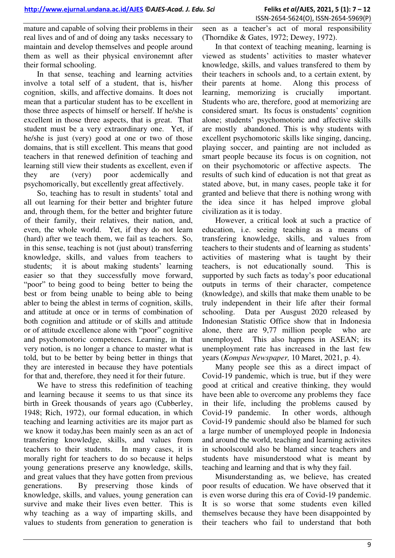mature and capable of solving their problems in their real lives and of and of doing any tasks necessary to maintain and develop themselves and people around them as well as their physical environemnt after their formal schooling.

In that sense, teaching and learning actvities involve a total self of a student, that is, his/her cognition, skills, and affective domains. It does not mean that a particular student has to be excellent in those three aspects of himself or herself. If he/she is excellent in those three aspects, that is great. That student must be a very extraordinary one. Yet, if he/she is just (very) good at one or two of those domains, that is still excellent. This means that good teachers in that renewed definition of teaching and learning still view their students as excellent, even if they are (very) poor acdemically and psychomorically, but excellently great affectively.

So, teaching has to result in students' total and all out learning for their better and brighter future and, through them, for the better and brighter future of their family, their relatives, their nation, and, even, the whole world. Yet, if they do not learn (hard) after we teach them, we fail as teachers. So, in this sense, teaching is not (just about) transferring knowledge, skills, and values from teachers to students; it is about making students' learning easier so that they successfully move forward, "poor" to being good to being better to being the best or from being unable to being able to being abler to being the ablest in terms of cognition, skills, and attitude at once or in terms of combination of both cognition and attitude or of skills and attitude or of attitude excellence alone with "poor" cognitive and psychomotoric competences. Learning, in that very notion, is no longer a chance to master what is told, but to be better by being better in things that they are interested in because they have potentials for that and, therefore, they need it for their future.

We have to stress this redefinition of teaching and learning because it seems to us that since its birth in Greek thousands of years ago (Cubberley, 1948; Rich, 1972), our formal education, in which teaching and learning activities are its major part as we know it today,has been mainly seen as an act of transfering knowledge, skills, and values from teachers to their students. In many cases, it is morally right for teachers to do so because it helps young generations preserve any knowledge, skills, and great values that they have gotten from previous generations. By preserving those kinds of knowledge, skills, and values, young generation can survive and make their lives even better. This is why teaching as a way of imparting skills, and values to students from generation to generation is

seen as a teacher's act of moral responsibility (Thorndike & Gates, 1972; Dewey, 1972).

In that context of teaching meaning, learning is viewed as students' activities to master whatever knowledge, skills, and values transfered to them by their teachers in schools and, to a certain extent, by their parents at home. Along this process of learning, memorizing is crucially important. Students who are, therefore, good at memorizing are considered smart. Its focus is onstudents' cognition alone; students' psychomotoric and affective skills are mostly abandoned. This is why students with excellent psychomotoric skills like singing, dancing, playing soccer, and painting are not included as smart people because its focus is on cognition, not on their psychomotoric or affective aspects. The results of such kind of education is not that great as stated above, but, in many cases, people take it for granted and believe that there is nothing wrong with the idea since it has helped improve global civilization as it is today.

However, a critical look at such a practice of education, i.e. seeing teaching as a means of transfering knowledge, skills, and values from teachers to their students and of learning as students' activities of mastering what is taught by their teachers, is not educationally sound. This is supported by such facts as today's poor educational outputs in terms of their character, competence (knowledge), and skills that make them unable to be truly independent in their life after their formal schooling. Data per Ausgust 2020 released by Indonesian Statistic Office show that in Indonesia alone, there are 9,77 million people who are unemployed. This also happens in ASEAN; its unemployment rate has increased in the last few years (*Kompas Newspaper,* 10 Maret, 2021, p. 4).

Many people see this as a direct impact of Covid-19 pandemic, which is true, but if they were good at critical and creative thinking, they would have been able to overcome any problems they face in their life, including the problems caused by Covid-19 pandemic. In other words, although Covid-19 pandemic should also be blamed for such a large number of unemployed people in Indonesia and around the world, teaching and learning activites in schoolscould also be blamed since teachers and students have misunderstood what is meant by teaching and learning and that is why they fail.

Misunderstanding as, we believe, has created poor results of education. We have observed that it is even worse during this era of Covid-19 pandemic. It is so worse that some students even killed themselves because they have been disappointed by their teachers who fail to understand that both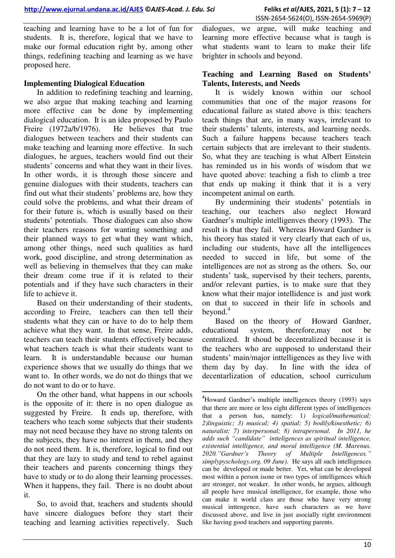teaching and learning have to be a lot of fun for students. It is, therefore, logical that we have to make our formal education right by, among other things, redefining teaching and learning as we have proposed here.

### **Implementing Dialogical Education**

In addition to redefining teaching and learning, we also argue that making teaching and learning more effective can be done by implementing dialogical education. It is an idea proposed by Paulo Freire (1972a/b/1976). He believes that true dialogues between teachers and their students can make teaching and learning more effective. In such dialogues, he argues, teachers would find out their students' concerns and what they want in their lives. In other words, it is through those sincere and genuine dialogues with their students, teachers can find out what their students' problems are, how they could solve the problems, and what their dream of for their future is, which is usually based on their students' potentials. Those dialogues can also show their teachers reasons for wanting something and their planned ways to get what they want which, among other things, need such qualities as hard work, good discipline, and strong determination as well as believing in themselves that they can make their dream come true if it is related to their potentials and if they have such characters in their life to achieve it.

Based on their understanding of their students, according to Freire, teachers can then tell their students what they can or have to do to help them achieve what they want. In that sense, Freire adds, teachers can teach their students effectively because what teachers teach is what their students want to learn. It is understandable because our human experience shows that we usually do things that we want to. In other words, we do not do things that we do not want to do or to have.

On the other hand, what happens in our schools is the opposite of it: there is no open dialogue as suggested by Freire. It ends up, therefore, with teachers who teach some subjects that their students may not need because they have no strong talents on the subjects, they have no interest in them, and they do not need them. It is, therefore, logical to find out that they are lazy to study and tend to rebel against their teachers and parents concerning things they have to study or to do along their learning processes. When it happens, they fail. There is no doubt about it.

So, to avoid that, teachers and students should have sincere dialogues before they start their teaching and learning activities repectively. Such

dialogues, we argue, will make teaching and learning more effective because what is taugh is what students want to learn to make their life brighter in schools and beyond.

#### **Teaching and Learning Based on Students' Talents, Interests, and Needs**

It is widely known within our school communities that one of the major reasons for educational failure as stated above is this: teachers teach things that are, in many ways, irrelevant to their students' talents, interests, and learning needs. Such a failure happens because teachers teach certain subjects that are irrelevant to their students. So, what they are teaching is what Albert Einstein has reminded us in his words of wisdom that we have quoted above: teaching a fish to climb a tree that ends up making it think that it is a very incompetent animal on earth.

By undermining their students' potentials in teaching, our teachers also neglect Howard Gardner's multiple intelligenves theory (1993). The result is that they fail. Whereas Howard Gardner is his theory has stated it very clearly that each of us, including our students, have all the intelligences needed to succed in life, but some of the intelligences are not as strong as the others. So, our students' task, supervised by their techers, parents, and/or relevant parties, is to make sure that they know what their major intellidence is and just work on that to succeed in their life in schools and beyond.<sup>4</sup>

Based on the theory of Howard Gardner, educational system, therefore,may not be centralized. It shoud be decentralized because it is the teachers who are supposed to understand their students' main/major inttelligences as they live with them day by day. In line with the idea of decentarlization of education, school curriculum

.

<sup>&</sup>lt;sup>4</sup>Howard Gardner's multiple intelligences theory (1993) says that there are more or less eight different types of intelligences that a person has, namely: 1*) logical/mathematical; 2)linguistic; 3) musical; 4) spatial; 5) bodily/kinesthetic; 6) naturalist; 7) interpersonal; 8) intrapersonal. In 2011, he adds such "candidate" intteligences as spiritual intelligence, existential intelligence, and moral intelligence (M. Marenus. 2020."Gardner's Theory of Multiple Intelligences." simplypyschology.org. 09 June).* He says all such intelligences can be developed or made better. Yet, what can be developed most within a person isone or two types of intelligences which are stronger, not weaker. In other words, he argues, although all people have musical intelligence, for example, those who can make it world class are those who have very strong musical inttengence, have such characters as we have discussed above, and live in just asocially right environment like having good teachers and supporting parents.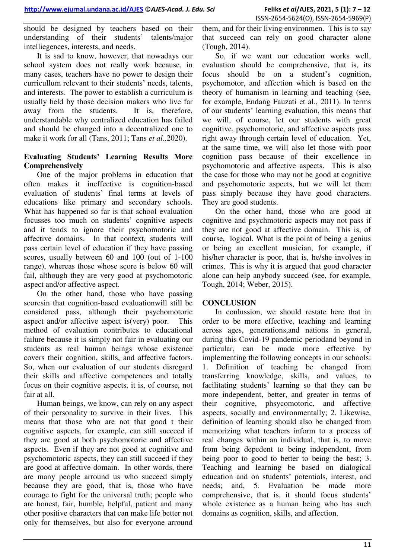should be designed by teachers based on their understanding of their students' talents/major intelliegences, interests, and needs.

It is sad to know, however, that nowadays our school system does not really work because, in many cases, teachers have no power to design their curricullum relevant to their students' needs, talents, and interests. The power to establish a curriculum is usually held by those decision makers who live far away from the students. It is, therefore, understandable why centralized education has failed and should be changed into a decentralized one to make it work for all (Tans, 2011; Tans *et al.,*2020).

## **Evaluating Students' Learning Results More Comprehensively**

One of the major problems in education that often makes it ineffective is cognition-based evaluation of students' final terms at levels of educations like primary and secondary schools. What has happened so far is that school evaluation focusses too much on students' cognitive aspects and it tends to ignore their psychomotoric and affective domains. In that context, students will pass certain level of education if they have passing scores, usually between 60 and 100 (out of 1-100 range), whereas those whose score is below 60 will fail, although they are very good at psychomotoric aspect and/or affective aspect.

On the other hand, those who have passing scoresin that cognition-based evaluationwill still be considered pass, although their psychomotoric aspect and/or affective aspect is(very) poor. This method of evaluation contributes to educational failure because it is simply not fair in evaluating our students as real human beings whose existence covers their cognition, skills, and affective factors. So, when our evaluation of our students disregard their skills and affective competences and totally focus on their cognitive aspects, it is, of course, not fair at all.

Human beings, we know, can rely on any aspect of their personality to survive in their lives. This means that those who are not that good t their cognitive aspects, for example, can still succeed if they are good at both psychomotoric and affective aspects. Even if they are not good at cognitive and psychomotoric aspects, they can still succeed if they are good at affective domain. In other words, there are many people arround us who succeed simply because they are good, that is, those who have courage to fight for the universal truth; people who are honest, fair, humble, helpful, patient and many other positive characters that can make life better not only for themselves, but also for everyone arround

them, and for their living environmen. This is to say that succeed can rely on good character alone (Tough, 2014).

So, if we want our education works well, evaluation should be comprehensive, that is, its focus should be on a student's cognition, psychomotor, and affection which is based on the theory of humanism in learning and teaching (see, for example, Endang Fauzati et al., 2011). In terms of our students' learning evaluation, this means that we will, of course, let our students with great cognitive, psychomotoric, and affective aspects pass right away through certain level of education. Yet, at the same time, we will also let those with poor cognition pass because of their excellence in psychomotoric and affective aspects. This is also the case for those who may not be good at cognitive and psychomotoric aspects, but we will let them pass simply because they have good characters. They are good students.

On the other hand, those who are good at cognitive and psychmotoric aspects may not pass if they are not good at affective domain. This is, of course, logical. What is the point of being a genius or being an excellent musician, for example, if his/her character is poor, that is, he/she involves in crimes. This is why it is argued that good character alone can help anybody succeed (see, for example, Tough, 2014; Weber, 2015).

## **CONCLUSION**

In conlussion, we should restate here that in order to be more effective, teaching and learning across ages, generations,and nations in general, during this Covid-19 pandemic periodand beyond in particular, can be made more effective by implementing the following concepts in our schools: 1. Definition of teaching be changed from transferring knowledge, skills, and values, to facilitating students' learning so that they can be more independent, better, and greater in terms of their cognitive, phsycomotoric, and affective aspects, socially and environmentally; 2. Likewise, definition of learning should also be changed from memorizing what teachers inform to a process of real changes within an individual, that is, to move from being depedent to being independent, from being poor to good to better to being the best; 3. Teaching and learning be based on dialogical education and on students' potentials, interest, and needs; and, 5. Evaluation be made more comprehensive, that is, it should focus students' whole existence as a human being who has such domains as cognition, skills, and affection.